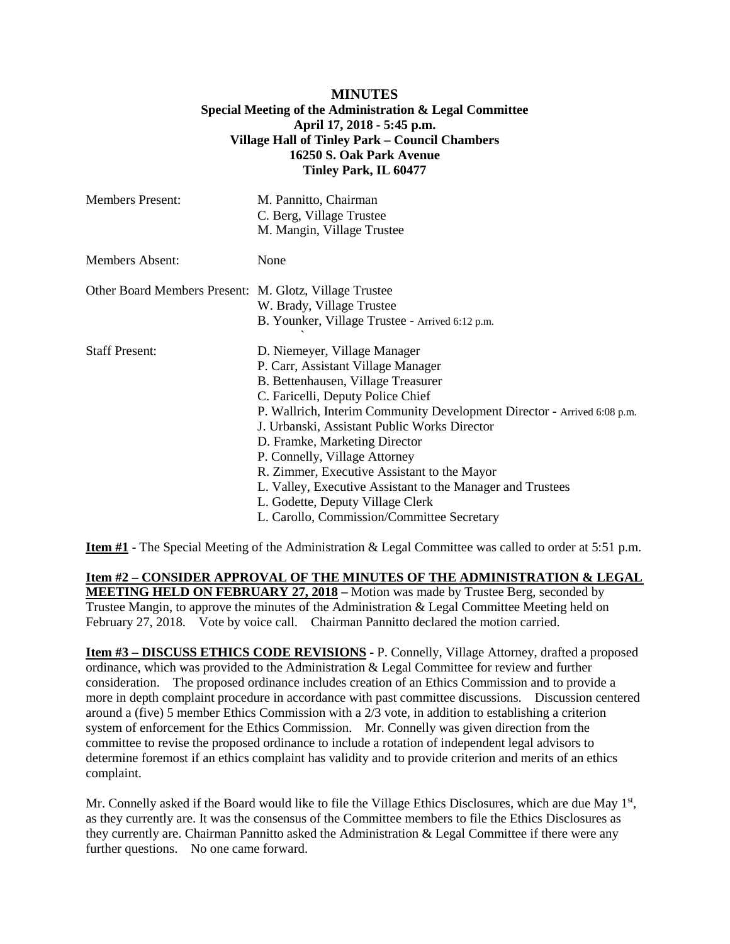## **MINUTES Special Meeting of the Administration & Legal Committee April 17, 2018 - 5:45 p.m. Village Hall of Tinley Park – Council Chambers 16250 S. Oak Park Avenue Tinley Park, IL 60477**

| <b>Members Present:</b>                                | M. Pannitto, Chairman<br>C. Berg, Village Trustee<br>M. Mangin, Village Trustee                                                                                                                                                                                                                                                                                                                                                                                                                                                           |
|--------------------------------------------------------|-------------------------------------------------------------------------------------------------------------------------------------------------------------------------------------------------------------------------------------------------------------------------------------------------------------------------------------------------------------------------------------------------------------------------------------------------------------------------------------------------------------------------------------------|
| <b>Members Absent:</b>                                 | None                                                                                                                                                                                                                                                                                                                                                                                                                                                                                                                                      |
| Other Board Members Present: M. Glotz, Village Trustee | W. Brady, Village Trustee<br>B. Younker, Village Trustee - Arrived 6:12 p.m.                                                                                                                                                                                                                                                                                                                                                                                                                                                              |
| <b>Staff Present:</b>                                  | D. Niemeyer, Village Manager<br>P. Carr, Assistant Village Manager<br>B. Bettenhausen, Village Treasurer<br>C. Faricelli, Deputy Police Chief<br>P. Wallrich, Interim Community Development Director - Arrived 6:08 p.m.<br>J. Urbanski, Assistant Public Works Director<br>D. Framke, Marketing Director<br>P. Connelly, Village Attorney<br>R. Zimmer, Executive Assistant to the Mayor<br>L. Valley, Executive Assistant to the Manager and Trustees<br>L. Godette, Deputy Village Clerk<br>L. Carollo, Commission/Committee Secretary |

**Item #1** - The Special Meeting of the Administration & Legal Committee was called to order at 5:51 p.m.

**Item #2 – CONSIDER APPROVAL OF THE MINUTES OF THE ADMINISTRATION & LEGAL MEETING HELD ON FEBRUARY 27, 2018 – Motion was made by Trustee Berg, seconded by** Trustee Mangin, to approve the minutes of the Administration & Legal Committee Meeting held on February 27, 2018. Vote by voice call. Chairman Pannitto declared the motion carried.

**Item #3 – DISCUSS ETHICS CODE REVISIONS -** P. Connelly, Village Attorney, drafted a proposed ordinance, which was provided to the Administration & Legal Committee for review and further consideration. The proposed ordinance includes creation of an Ethics Commission and to provide a more in depth complaint procedure in accordance with past committee discussions. Discussion centered around a (five) 5 member Ethics Commission with a 2/3 vote, in addition to establishing a criterion system of enforcement for the Ethics Commission. Mr. Connelly was given direction from the committee to revise the proposed ordinance to include a rotation of independent legal advisors to determine foremost if an ethics complaint has validity and to provide criterion and merits of an ethics complaint.

Mr. Connelly asked if the Board would like to file the Village Ethics Disclosures, which are due May 1<sup>st</sup>, as they currently are. It was the consensus of the Committee members to file the Ethics Disclosures as they currently are. Chairman Pannitto asked the Administration & Legal Committee if there were any further questions. No one came forward.